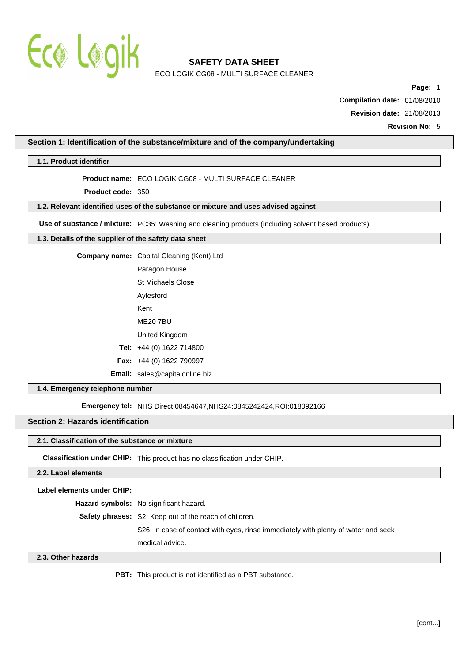

ECO LOGIK CG08 - MULTI SURFACE CLEANER

**Page:** 1

**Compilation date:** 01/08/2010

**Revision date:** 21/08/2013

**Revision No:** 5

### **Section 1: Identification of the substance/mixture and of the company/undertaking**

### **1.1. Product identifier**

### **Product name:** ECO LOGIK CG08 - MULTI SURFACE CLEANER

**Product code:** 350

## **1.2. Relevant identified uses of the substance or mixture and uses advised against**

**Use of substance / mixture:** PC35: Washing and cleaning products (including solvent based products).

# **1.3. Details of the supplier of the safety data sheet**

**Company name:** Capital Cleaning (Kent) Ltd

Paragon House

St Michaels Close

- Aylesford
- Kent

ME20 7BU

- United Kingdom
- **Tel:** +44 (0) 1622 714800
- **Fax:** +44 (0) 1622 790997

**Email:** sales@capitalonline.biz

#### **1.4. Emergency telephone number**

**Emergency tel: NHS Direct:08454647,NHS24:0845242424,ROI:018092166** 

### **Section 2: Hazards identification**

#### **2.1. Classification of the substance or mixture**

**Classification under CHIP:** This product has no classification under CHIP.

#### **2.2. Label elements**

**Label elements under CHIP:**

**Hazard symbols:** No significant hazard.

**Safety phrases:** S2: Keep out of the reach of children.

S26: In case of contact with eyes, rinse immediately with plenty of water and seek

medical advice.

#### **2.3. Other hazards**

**PBT:** This product is not identified as a PBT substance.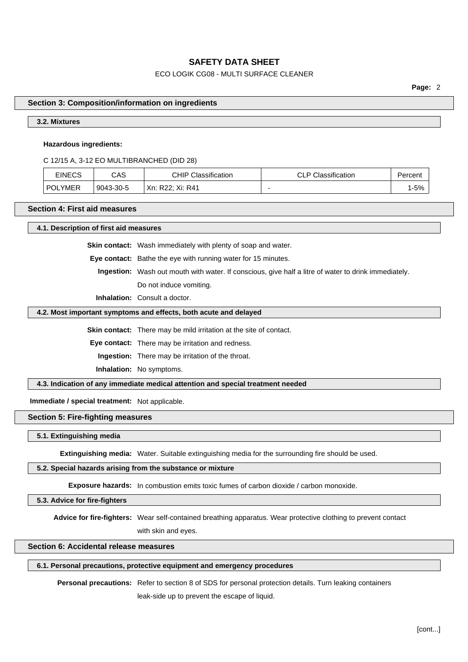# ECO LOGIK CG08 - MULTI SURFACE CLEANER

**Page:** 2

#### **Section 3: Composition/information on ingredients**

# **3.2. Mixtures**

#### **Hazardous ingredients:**

C 12/15 A, 3-12 EO MULTIBRANCHED (DID 28)

| <b>EINECS</b> | CAS       | Classification<br>CHIP        | Classification<br>ה וה<br>◡ | ⊵ercen |
|---------------|-----------|-------------------------------|-----------------------------|--------|
| .YMER<br>P∩L  | 9043-30-5 | DOO. Vi.<br>Xn:<br>R41<br>722 |                             | 1-5%   |

# **Section 4: First aid measures**

**4.1. Description of first aid measures**

**Skin contact:** Wash immediately with plenty of soap and water.

**Eye contact:** Bathe the eye with running water for 15 minutes.

**Ingestion:** Wash out mouth with water. If conscious, give half a litre of water to drink immediately. Do not induce vomiting.

**Inhalation:** Consult a doctor.

#### **4.2. Most important symptoms and effects, both acute and delayed**

**Skin contact:** There may be mild irritation at the site of contact.

**Eye contact:** There may be irritation and redness.

**Ingestion:** There may be irritation of the throat.

**Inhalation:** No symptoms.

**4.3. Indication of any immediate medical attention and special treatment needed**

**Immediate / special treatment:** Not applicable.

# **Section 5: Fire-fighting measures**

#### **5.1. Extinguishing media**

**Extinguishing media:** Water. Suitable extinguishing media for the surrounding fire should be used.

# **5.2. Special hazards arising from the substance or mixture**

**Exposure hazards:** In combustion emits toxic fumes of carbon dioxide / carbon monoxide.

# **5.3. Advice for fire-fighters**

**Advice for fire-fighters:** Wear self-contained breathing apparatus. Wear protective clothing to prevent contact

with skin and eyes.

# **Section 6: Accidental release measures**

### **6.1. Personal precautions, protective equipment and emergency procedures**

**Personal precautions:** Refer to section 8 of SDS for personal protection details. Turn leaking containers

leak-side up to prevent the escape of liquid.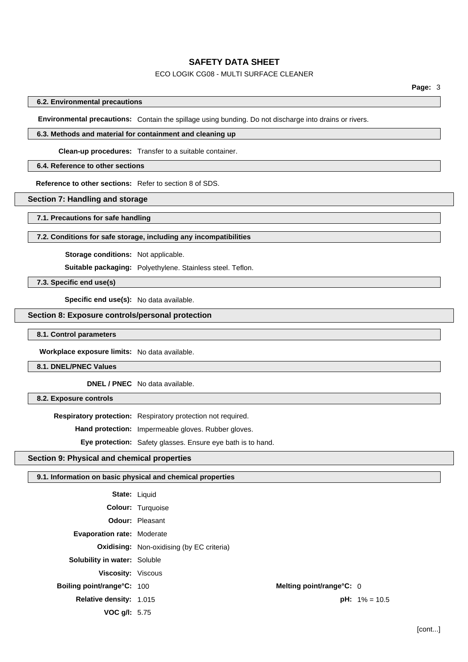# ECO LOGIK CG08 - MULTI SURFACE CLEANER

## **6.2. Environmental precautions**

**Environmental precautions:** Contain the spillage using bunding. Do not discharge into drains or rivers.

# **6.3. Methods and material for containment and cleaning up**

**Clean-up procedures:** Transfer to a suitable container.

# **6.4. Reference to other sections**

**Reference to other sections:** Refer to section 8 of SDS.

# **Section 7: Handling and storage**

**7.1. Precautions for safe handling**

### **7.2. Conditions for safe storage, including any incompatibilities**

**Storage conditions:** Not applicable.

**Suitable packaging:** Polyethylene. Stainless steel. Teflon.

**7.3. Specific end use(s)**

**Specific end use(s):** No data available.

# **Section 8: Exposure controls/personal protection**

**8.1. Control parameters**

**Workplace exposure limits:** No data available.

**8.1. DNEL/PNEC Values**

**DNEL / PNEC** No data available.

**8.2. Exposure controls**

**Respiratory protection:** Respiratory protection not required.

**Hand protection:** Impermeable gloves. Rubber gloves.

**Eye protection:** Safety glasses. Ensure eye bath is to hand.

## **Section 9: Physical and chemical properties**

# **9.1. Information on basic physical and chemical properties**

| <b>State: Liquid</b>                |                                                  |                          |                         |
|-------------------------------------|--------------------------------------------------|--------------------------|-------------------------|
|                                     | <b>Colour:</b> Turquoise                         |                          |                         |
|                                     | <b>Odour: Pleasant</b>                           |                          |                         |
| <b>Evaporation rate: Moderate</b>   |                                                  |                          |                         |
|                                     | <b>Oxidising:</b> Non-oxidising (by EC criteria) |                          |                         |
| <b>Solubility in water: Soluble</b> |                                                  |                          |                         |
| Viscosity: Viscous                  |                                                  |                          |                         |
| <b>Boiling point/range°C: 100</b>   |                                                  | Melting point/range°C: 0 |                         |
| <b>Relative density: 1.015</b>      |                                                  |                          | <b>pH:</b> $1\% = 10.5$ |
| <b>VOC <math>q/l: 5.75</math></b>   |                                                  |                          |                         |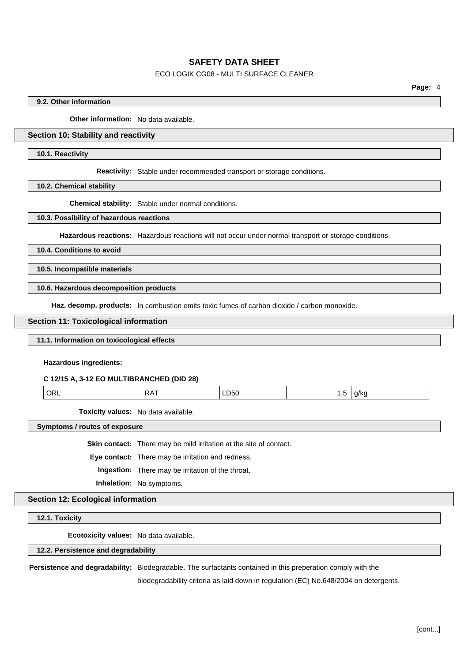# ECO LOGIK CG08 - MULTI SURFACE CLEANER

# **9.2. Other information**

**Other information:** No data available.

# **Section 10: Stability and reactivity**

#### **10.1. Reactivity**

**Reactivity:** Stable under recommended transport or storage conditions.

**10.2. Chemical stability**

**Chemical stability:** Stable under normal conditions.

#### **10.3. Possibility of hazardous reactions**

**Hazardous reactions:** Hazardous reactions will not occur under normal transport or storage conditions.

**10.4. Conditions to avoid**

**10.5. Incompatible materials**

**10.6. Hazardous decomposition products**

Haz. decomp. products: In combustion emits toxic fumes of carbon dioxide / carbon monoxide.

### **Section 11: Toxicological information**

### **11.1. Information on toxicological effects**

**Hazardous ingredients:**

#### **C 12/15 A, 3-12 EO MULTIBRANCHED (DID 28)**

| ORL '<br>a/kc<br>∟്ധ<br>$\cdot$ $\cdot$<br>$\cdot$ . $\cdot$<br>____<br>__<br>. . |
|-----------------------------------------------------------------------------------|
|-----------------------------------------------------------------------------------|

**Toxicity values:** No data available.

**Symptoms / routes of exposure**

**Skin contact:** There may be mild irritation at the site of contact.

**Eye contact:** There may be irritation and redness.

**Ingestion:** There may be irritation of the throat.

**Inhalation:** No symptoms.

# **Section 12: Ecological information**

**12.1. Toxicity**

**Ecotoxicity values:** No data available.

### **12.2. Persistence and degradability**

**Persistence and degradability:** Biodegradable. The surfactants contained in this preperation comply with the

biodegradability criteria as laid down in regulation (EC) No.648/2004 on detergents.